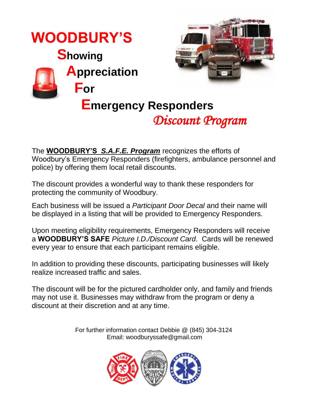

The **WOODBURT STS.A.F.E. Frogram** recognizes the enorts of<br>Woodbury's Emergency Responders (firefighters, ambulance personnel and The **WOODBURY'S** *S.A.F.E. Program* recognizes the efforts of police) by offering them local retail discounts.

The discount provides a wonderful way to thank these responders for protecting the community of Woodbury.

Each business will be issued a *Participant Door Decal* and their name will be displayed in a listing that will be provided to Emergency Responders.

Upon meeting eligibility requirements, Emergency Responders will receive a **WOODBURY'S SAFE** *Picture I.D./Discount Card*. Cards will be renewed every year to ensure that each participant remains eligible.

In addition to providing these discounts, participating businesses will likely realize increased traffic and sales.

The discount will be for the pictured cardholder only, and family and friends may not use it. Businesses may withdraw from the program or deny a discount at their discretion and at any time.

> For further information contact Debbie @ (845) 304-3124 Email: woodburyssafe@gmail.com